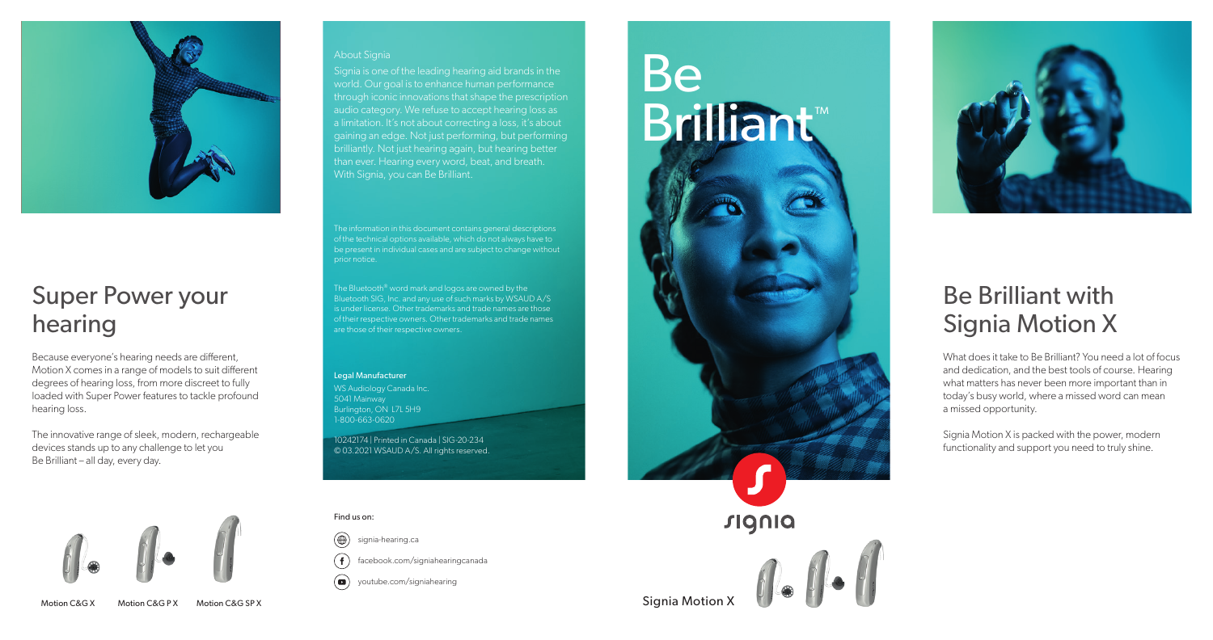#### About Signia

Signia is one of the leading hearing aid brands in the world. Our goal is to enhance human performance through iconic innovations that shape the prescription audio category. We refuse to accept hearing loss as a limitation. It's not about correcting a loss, it's about gaining an edge. Not just performing, but performing brilliantly. Not just hearing again, but hearing better than ever. Hearing every word, beat, and breath. With Signia, you can Be Brilliant.

The information in this document contains general descriptions of the technical options available, which do not always have to be present in individual cases and are subject to change without prior notice.

 $\left( \blacksquare \right)$ youtube.com/signiahearing

The Bluetooth® word mark and logos are owned by the Bluetooth SIG, Inc. and any use of such marks by WSAUD A/S is under license. Other trademarks and trade names are those of their respective owners. Other trademarks and trade names are those of their respective owners.

# Be **Brilliant™**



#### Legal Manufacturer

WS Audiology Canada Inc. 5041 Mainway Burlington, ON L7L 5H9 1-800-663-0620

10242174 | Printed in Canada | SIG-20-234 © 03.2021 WSAUD A/S. All rights reserved.



### Super Power your hearing

Because everyone's hearing needs are different, Motion X comes in a range of models to suit different degrees of hearing loss, from more discreet to fully loaded with Super Power features to tackle profound hearing loss.

The innovative range of sleek, modern, rechargeable devices stands up to any challenge to let you Be Brilliant – all day, every day.



Motion C&G X Motion C&G P X Motion C&G SP X 3 Notion 2 Notion 2 Notion 2 Notion 2 Notion 2 Notion 2 Notion 2 Notion 2

#### Find us on:

 $\circledast$ signia-hearing.ca  $(f)$ 

facebook.com/signiahearingcanada

## Be Brilliant with Signia Motion X



What does it take to Be Brilliant? You need a lot of focus and dedication, and the best tools of course. Hearing what matters has never been more important than in today's busy world, where a missed word can mean a missed opportunity.

Signia Motion X is packed with the power, modern functionality and support you need to truly shine.